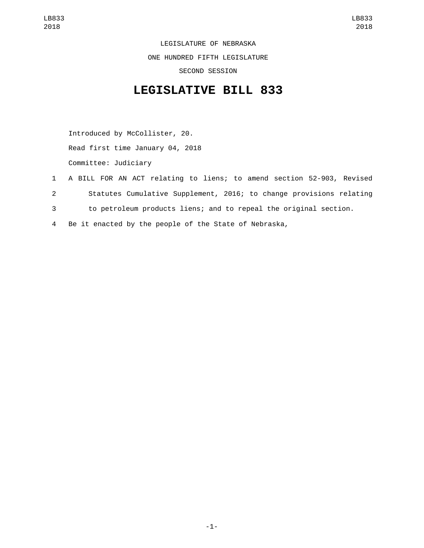LEGISLATURE OF NEBRASKA ONE HUNDRED FIFTH LEGISLATURE SECOND SESSION

## **LEGISLATIVE BILL 833**

Introduced by McCollister, 20. Read first time January 04, 2018 Committee: Judiciary

- 1 A BILL FOR AN ACT relating to liens; to amend section 52-903, Revised 2 Statutes Cumulative Supplement, 2016; to change provisions relating 3 to petroleum products liens; and to repeal the original section.
- 4 Be it enacted by the people of the State of Nebraska,